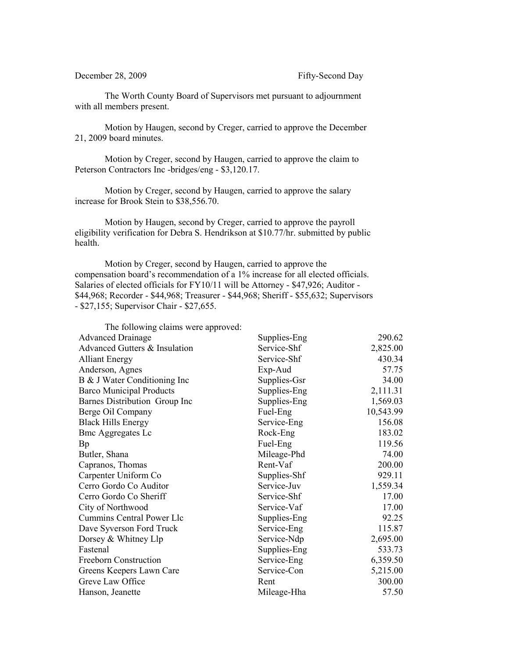The Worth County Board of Supervisors met pursuant to adjournment with all members present.

Motion by Haugen, second by Creger, carried to approve the December 21, 2009 board minutes.

Motion by Creger, second by Haugen, carried to approve the claim to Peterson Contractors Inc -bridges/eng - \$3,120.17.

Motion by Creger, second by Haugen, carried to approve the salary increase for Brook Stein to \$38,556.70.

Motion by Haugen, second by Creger, carried to approve the payroll eligibility verification for Debra S. Hendrikson at \$10.77/hr. submitted by public health.

Motion by Creger, second by Haugen, carried to approve the compensation board's recommendation of a 1% increase for all elected officials. Salaries of elected officials for FY10/11 will be Attorney - \$47,926; Auditor - \$44,968; Recorder - \$44,968; Treasurer - \$44,968; Sheriff - \$55,632; Supervisors - \$27,155; Supervisor Chair - \$27,655.

| The following claims were approved: |              |           |
|-------------------------------------|--------------|-----------|
| <b>Advanced Drainage</b>            | Supplies-Eng | 290.62    |
| Advanced Gutters & Insulation       | Service-Shf  | 2,825.00  |
| <b>Alliant Energy</b>               | Service-Shf  | 430.34    |
| Anderson, Agnes                     | Exp-Aud      | 57.75     |
| B & J Water Conditioning Inc        | Supplies-Gsr | 34.00     |
| <b>Barco Municipal Products</b>     | Supplies-Eng | 2,111.31  |
| Barnes Distribution Group Inc       | Supplies-Eng | 1,569.03  |
| Berge Oil Company                   | Fuel-Eng     | 10,543.99 |
| <b>Black Hills Energy</b>           | Service-Eng  | 156.08    |
| <b>Bmc Aggregates Lc</b>            | Rock-Eng     | 183.02    |
| Bp                                  | Fuel-Eng     | 119.56    |
| Butler, Shana                       | Mileage-Phd  | 74.00     |
| Capranos, Thomas                    | Rent-Vaf     | 200.00    |
| Carpenter Uniform Co                | Supplies-Shf | 929.11    |
| Cerro Gordo Co Auditor              | Service-Juv  | 1,559.34  |
| Cerro Gordo Co Sheriff              | Service-Shf  | 17.00     |
| City of Northwood                   | Service-Vaf  | 17.00     |
| Cummins Central Power Llc           | Supplies-Eng | 92.25     |
| Dave Syverson Ford Truck            | Service-Eng  | 115.87    |
| Dorsey & Whitney Llp                | Service-Ndp  | 2,695.00  |
| Fastenal                            | Supplies-Eng | 533.73    |
| <b>Freeborn Construction</b>        | Service-Eng  | 6,359.50  |
| Greens Keepers Lawn Care            | Service-Con  | 5,215.00  |
| Greve Law Office                    | Rent         | 300.00    |
| Hanson, Jeanette                    | Mileage-Hha  | 57.50     |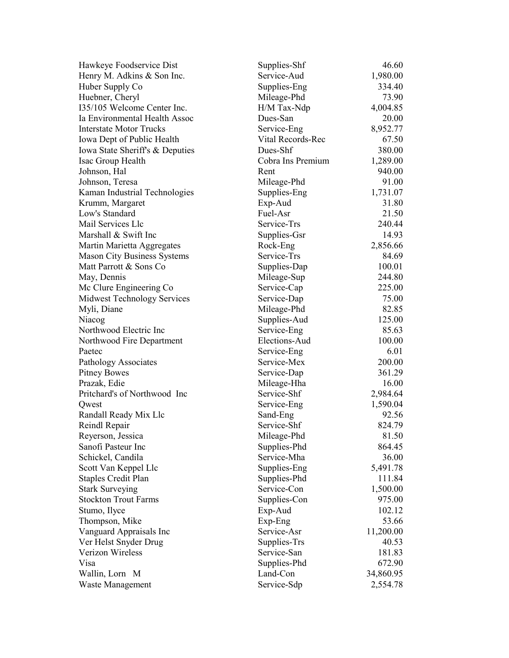| Hawkeye Foodservice Dist           | Supplies-Shf      | 46.60     |
|------------------------------------|-------------------|-----------|
| Henry M. Adkins & Son Inc.         | Service-Aud       | 1,980.00  |
| Huber Supply Co                    | Supplies-Eng      | 334.40    |
| Huebner, Cheryl                    | Mileage-Phd       | 73.90     |
| 135/105 Welcome Center Inc.        | H/M Tax-Ndp       | 4,004.85  |
| Ia Environmental Health Assoc      | Dues-San          | 20.00     |
| <b>Interstate Motor Trucks</b>     | Service-Eng       | 8,952.77  |
| Iowa Dept of Public Health         | Vital Records-Rec | 67.50     |
| Iowa State Sheriff's & Deputies    | Dues-Shf          | 380.00    |
| Isac Group Health                  | Cobra Ins Premium | 1,289.00  |
| Johnson, Hal                       | Rent              | 940.00    |
| Johnson, Teresa                    | Mileage-Phd       | 91.00     |
| Kaman Industrial Technologies      | Supplies-Eng      | 1,731.07  |
| Krumm, Margaret                    | Exp-Aud           | 31.80     |
| Low's Standard                     | Fuel-Asr          | 21.50     |
| Mail Services Llc                  | Service-Trs       | 240.44    |
| Marshall & Swift Inc               | Supplies-Gsr      | 14.93     |
| Martin Marietta Aggregates         | Rock-Eng          | 2,856.66  |
| <b>Mason City Business Systems</b> | Service-Trs       | 84.69     |
| Matt Parrott & Sons Co             | Supplies-Dap      | 100.01    |
| May, Dennis                        | Mileage-Sup       | 244.80    |
| Mc Clure Engineering Co            | Service-Cap       | 225.00    |
| <b>Midwest Technology Services</b> | Service-Dap       | 75.00     |
| Myli, Diane                        | Mileage-Phd       | 82.85     |
| Niacog                             | Supplies-Aud      | 125.00    |
| Northwood Electric Inc             | Service-Eng       | 85.63     |
| Northwood Fire Department          | Elections-Aud     | 100.00    |
| Paetec                             | Service-Eng       | 6.01      |
| Pathology Associates               | Service-Mex       | 200.00    |
| <b>Pitney Bowes</b>                | Service-Dap       | 361.29    |
| Prazak, Edie                       | Mileage-Hha       | 16.00     |
| Pritchard's of Northwood Inc       | Service-Shf       | 2,984.64  |
| Qwest                              | Service-Eng       | 1,590.04  |
| Randall Ready Mix Llc              | Sand-Eng          | 92.56     |
| Reindl Repair                      | Service-Shf       | 824.79    |
| Reyerson, Jessica                  | Mileage-Phd       | 81.50     |
| Sanofi Pasteur Inc                 | Supplies-Phd      | 864.45    |
| Schickel, Candila                  | Service-Mha       | 36.00     |
| Scott Van Keppel Llc               | Supplies-Eng      | 5,491.78  |
| <b>Staples Credit Plan</b>         | Supplies-Phd      | 111.84    |
| <b>Stark Surveying</b>             | Service-Con       | 1,500.00  |
| <b>Stockton Trout Farms</b>        | Supplies-Con      | 975.00    |
| Stumo, Ilyce                       | Exp-Aud           | 102.12    |
| Thompson, Mike                     | Exp-Eng           | 53.66     |
| Vanguard Appraisals Inc            | Service-Asr       | 11,200.00 |
| Ver Helst Snyder Drug              | Supplies-Trs      | 40.53     |
| Verizon Wireless                   | Service-San       | 181.83    |
| Visa                               | Supplies-Phd      | 672.90    |
| Wallin, Lorn M                     | Land-Con          | 34,860.95 |
| Waste Management                   | Service-Sdp       | 2,554.78  |
|                                    |                   |           |